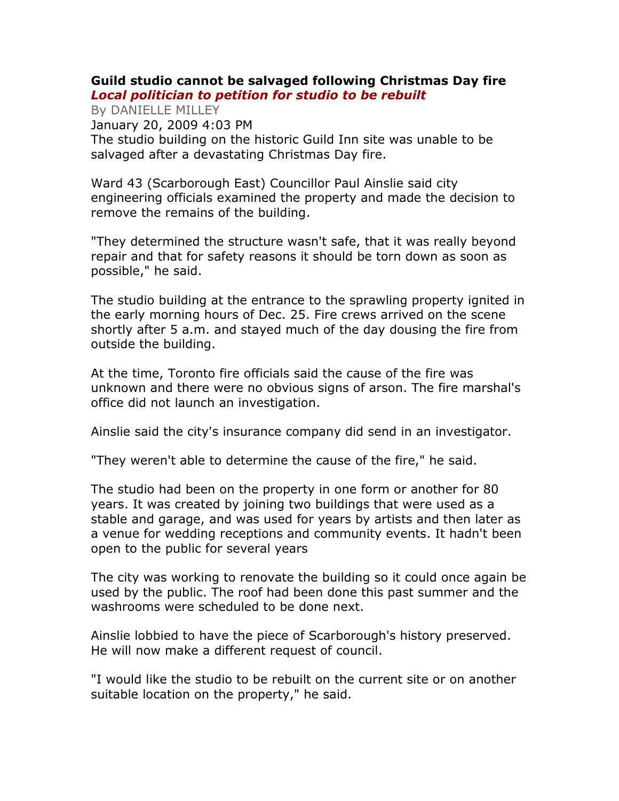## Guild studio cannot be salvaged following Christmas Day fire Local politician to petition for studio to be rebuilt

By DANIELLE MILLEY January 20, 2009 4:03 PM The studio building on the historic Guild Inn site was unable to be salvaged after a devastating Christmas Day fire.

Ward 43 (Scarborough East) Councillor Paul Ainslie said city engineering officials examined the property and made the decision to remove the remains of the building.

"They determined the structure wasn't safe, that it was really beyond repair and that for safety reasons it should be torn down as soon as possible," he said.

The studio building at the entrance to the sprawling property ignited in the early morning hours of Dec. 25. Fire crews arrived on the scene shortly after 5 a.m. and stayed much of the day dousing the fire from outside the building.

At the time, Toronto fire officials said the cause of the fire was unknown and there were no obvious signs of arson. The fire marshal's office did not launch an investigation.

Ainslie said the city's insurance company did send in an investigator.

"They weren't able to determine the cause of the fire," he said.

The studio had been on the property in one form or another for 80 years. It was created by joining two buildings that were used as a stable and garage, and was used for years by artists and then later as a venue for wedding receptions and community events. It hadn't been open to the public for several years

The city was working to renovate the building so it could once again be used by the public. The roof had been done this past summer and the washrooms were scheduled to be done next.

Ainslie lobbied to have the piece of Scarborough's history preserved. He will now make a different request of council.

"I would like the studio to be rebuilt on the current site or on another suitable location on the property," he said.